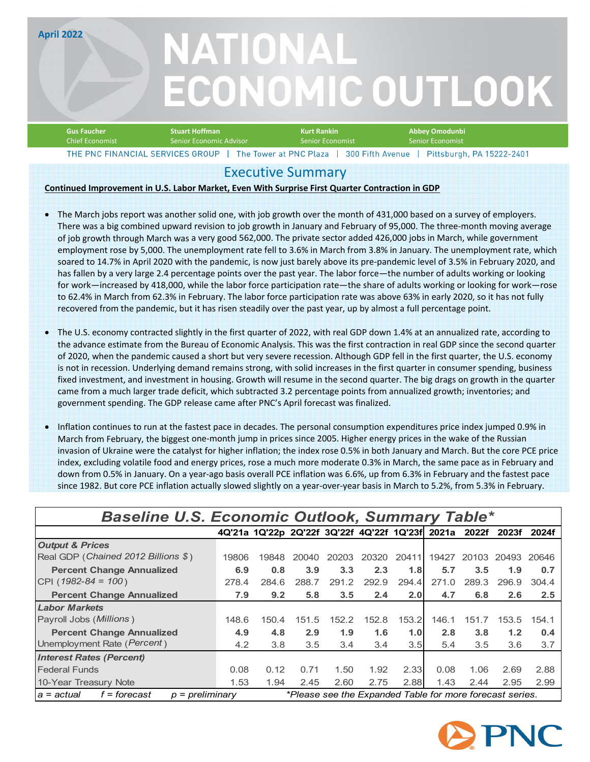**April 2022**

# NATIONAL **ECONOMIC OUTLOOK**

| <b>Stuart Hoffman</b><br><b>Gus Faucher</b> |                         | Kurt Rankin         | Abbey Omodunbi                                                                                          |
|---------------------------------------------|-------------------------|---------------------|---------------------------------------------------------------------------------------------------------|
| Chief Economist '                           | Senior Economic Advisor | LSenior Economist ' | <b>Senior Economist</b>                                                                                 |
|                                             |                         |                     | THE DNC EINANCIAL SEDVICES GROUP   The Tewer at DNC Plaza   200 Eifth Avenue   Dittoburgh PA 15222-2401 |

## Executive Summary

#### **Continued Improvement in U.S. Labor Market, Even With Surprise First Quarter Contraction in GDP**

- The March jobs report was another solid one, with job growth over the month of 431,000 based on a survey of employers. There was a big combined upward revision to job growth in January and February of 95,000. The three‐month moving average of job growth through March was a very good 562,000. The private sector added 426,000 jobs in March, while government employment rose by 5,000. The unemployment rate fell to 3.6% in March from 3.8% in January. The unemployment rate, which soared to 14.7% in April 2020 with the pandemic, is now just barely above its pre‐pandemic level of 3.5% in February 2020, and has fallen by a very large 2.4 percentage points over the past year. The labor force—the number of adults working or looking for work—increased by 418,000, while the labor force participation rate—the share of adults working or looking for work—rose to 62.4% in March from 62.3% in February. The labor force participation rate was above 63% in early 2020, so it has not fully recovered from the pandemic, but it has risen steadily over the past year, up by almost a full percentage point.
- The U.S. economy contracted slightly in the first quarter of 2022, with real GDP down 1.4% at an annualized rate, according to the advance estimate from the Bureau of Economic Analysis. This was the first contraction in real GDP since the second quarter of 2020, when the pandemic caused a short but very severe recession. Although GDP fell in the first quarter, the U.S. economy is not in recession. Underlying demand remains strong, with solid increases in the first quarter in consumer spending, business fixed investment, and investment in housing. Growth will resume in the second quarter. The big drags on growth in the quarter came from a much larger trade deficit, which subtracted 3.2 percentage points from annualized growth; inventories; and government spending. The GDP release came after PNC's April forecast was finalized.
- Inflation continues to run at the fastest pace in decades. The personal consumption expenditures price index jumped 0.9% in March from February, the biggest one‐month jump in prices since 2005. Higher energy prices in the wake of the Russian invasion of Ukraine were the catalyst for higher inflation; the index rose 0.5% in both January and March. But the core PCE price index, excluding volatile food and energy prices, rose a much more moderate 0.3% in March, the same pace as in February and down from 0.5% in January. On a year‐ago basis overall PCE inflation was 6.6%, up from 6.3% in February and the fastest pace since 1982. But core PCE inflation actually slowed slightly on a year‐over‐year basis in March to 5.2%, from 5.3% in February.

| Baseline U.S. Economic Outlook, Summary Table*                                                              |       |                                                       |       |       |       |       |       |       |       |       |
|-------------------------------------------------------------------------------------------------------------|-------|-------------------------------------------------------|-------|-------|-------|-------|-------|-------|-------|-------|
|                                                                                                             |       | 4Q'21a 1Q'22p 2Q'22f 3Q'22f 4Q'22f 1Q'23f 2021a 2022f |       |       |       |       |       |       | 2023f | 2024f |
| <b>Output &amp; Prices</b>                                                                                  |       |                                                       |       |       |       |       |       |       |       |       |
| Real GDP (Chained 2012 Billions \$)                                                                         | 19806 | 19848                                                 | 20040 | 20203 | 20320 | 20411 | 19427 | 20103 | 20493 | 20646 |
| <b>Percent Change Annualized</b>                                                                            | 6.9   | 0.8                                                   | 3.9   | 3.3   | 2.3   | 1.8   | 5.7   | 3.5   | 1.9   | 0.7   |
| CPI (1982-84 = 100)                                                                                         | 278.4 | 284.6                                                 | 288.7 | 291.2 | 292.9 | 294.4 | 271.0 | 289.3 | 296.9 | 304.4 |
| <b>Percent Change Annualized</b>                                                                            | 7.9   | 9.2                                                   | 5.8   | 3.5   | 2.4   | 2.0   | 4.7   | 6.8   | 2.6   | 2.5   |
| <b>Labor Markets</b>                                                                                        |       |                                                       |       |       |       |       |       |       |       |       |
| Payroll Jobs ( <i>Millions</i> )                                                                            | 148.6 | 150.4                                                 | 151.5 | 152.2 | 152.8 | 153.2 | 146.1 | 151.7 | 153.5 | 154.1 |
| <b>Percent Change Annualized</b>                                                                            | 4.9   | 4.8                                                   | 2.9   | 1.9   | 1.6   | 1.0   | 2.8   | 3.8   | 1.2   | 0.4   |
| Unemployment Rate (Percent)                                                                                 | 4.2   | 3.8                                                   | 3.5   | 3.4   | 3.4   | 3.5   | 5.4   | 3.5   | 3.6   | 3.7   |
| <b>Interest Rates (Percent)</b>                                                                             |       |                                                       |       |       |       |       |       |       |       |       |
| <b>Federal Funds</b>                                                                                        | 0.08  | 0.12                                                  | 0.71  | 1.50  | 1.92  | 2.33  | 0.08  | 1.06  | 2.69  | 2.88  |
| 10-Year Treasury Note                                                                                       | 1.53  | 1.94                                                  | 2.45  | 2.60  | 2.75  | 2.88  | 1.43  | 2.44  | 2.95  | 2.99  |
| *Please see the Expanded Table for more forecast series.<br>f = forecast<br>$p = preliminary$<br>a = actual |       |                                                       |       |       |       |       |       |       |       |       |

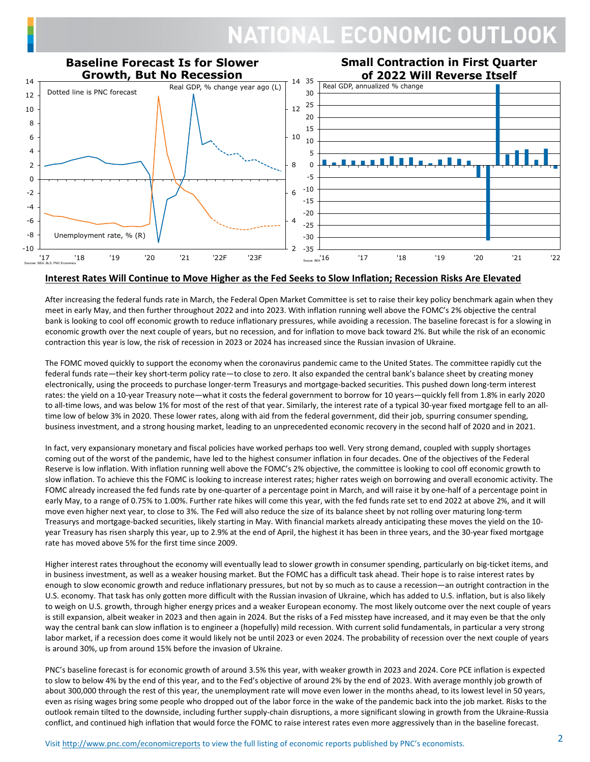# **NATIONAL ECONOMIC OUTLOOK**



#### Interest Rates Will Continue to Move Higher as the Fed Seeks to Slow Inflation; Recession Risks Are Elevated

After increasing the federal funds rate in March, the Federal Open Market Committee is set to raise their key policy benchmark again when they meet in early May, and then further throughout 2022 and into 2023. With inflation running well above the FOMC's 2% objective the central bank is looking to cool off economic growth to reduce inflationary pressures, while avoiding a recession. The baseline forecast is for a slowing in economic growth over the next couple of years, but no recession, and for inflation to move back toward 2%. But while the risk of an economic contraction this year is low, the risk of recession in 2023 or 2024 has increased since the Russian invasion of Ukraine.

The FOMC moved quickly to support the economy when the coronavirus pandemic came to the United States. The committee rapidly cut the federal funds rate—their key short-term policy rate—to close to zero. It also expanded the central bank's balance sheet by creating money electronically, using the proceeds to purchase longer-term Treasurys and mortgage-backed securities. This pushed down long-term interest rates: the yield on a 10‐year Treasury note—what it costs the federal government to borrow for 10 years—quickly fell from 1.8% in early 2020 to all-time lows, and was below 1% for most of the rest of that year. Similarly, the interest rate of a typical 30-year fixed mortgage fell to an alltime low of below 3% in 2020. These lower rates, along with aid from the federal government, did their job, spurring consumer spending, business investment, and a strong housing market, leading to an unprecedented economic recovery in the second half of 2020 and in 2021.

In fact, very expansionary monetary and fiscal policies have worked perhaps too well. Very strong demand, coupled with supply shortages coming out of the worst of the pandemic, have led to the highest consumer inflation in four decades. One of the objectives of the Federal Reserve is low inflation. With inflation running well above the FOMC's 2% objective, the committee is looking to cool off economic growth to slow inflation. To achieve this the FOMC is looking to increase interest rates; higher rates weigh on borrowing and overall economic activity. The FOMC already increased the fed funds rate by one-quarter of a percentage point in March, and will raise it by one-half of a percentage point in early May, to a range of 0.75% to 1.00%. Further rate hikes will come this year, with the fed funds rate set to end 2022 at above 2%, and it will move even higher next year, to close to 3%. The Fed will also reduce the size of its balance sheet by not rolling over maturing long-term Treasurys and mortgage‐backed securities, likely starting in May. With financial markets already anticipating these moves the yield on the 10‐ year Treasury has risen sharply this year, up to 2.9% at the end of April, the highest it has been in three years, and the 30‐year fixed mortgage rate has moved above 5% for the first time since 2009.

Higher interest rates throughout the economy will eventually lead to slower growth in consumer spending, particularly on big‐ticket items, and in business investment, as well as a weaker housing market. But the FOMC has a difficult task ahead. Their hope is to raise interest rates by enough to slow economic growth and reduce inflationary pressures, but not by so much as to cause a recession—an outright contraction in the U.S. economy. That task has only gotten more difficult with the Russian invasion of Ukraine, which has added to U.S. inflation, but is also likely to weigh on U.S. growth, through higher energy prices and a weaker European economy. The most likely outcome over the next couple of years is still expansion, albeit weaker in 2023 and then again in 2024. But the risks of a Fed misstep have increased, and it may even be that the only way the central bank can slow inflation is to engineer a (hopefully) mild recession. With current solid fundamentals, in particular a very strong labor market, if a recession does come it would likely not be until 2023 or even 2024. The probability of recession over the next couple of years is around 30%, up from around 15% before the invasion of Ukraine.

PNC's baseline forecast is for economic growth of around 3.5% this year, with weaker growth in 2023 and 2024. Core PCE inflation is expected to slow to below 4% by the end of this year, and to the Fed's objective of around 2% by the end of 2023. With average monthly job growth of about 300,000 through the rest of this year, the unemployment rate will move even lower in the months ahead, to its lowest level in 50 years, even as rising wages bring some people who dropped out of the labor force in the wake of the pandemic back into the job market. Risks to the outlook remain tilted to the downside, including further supply‐chain disruptions, a more significant slowing in growth from the Ukraine‐Russia conflict, and continued high inflation that would force the FOMC to raise interest rates even more aggressively than in the baseline forecast.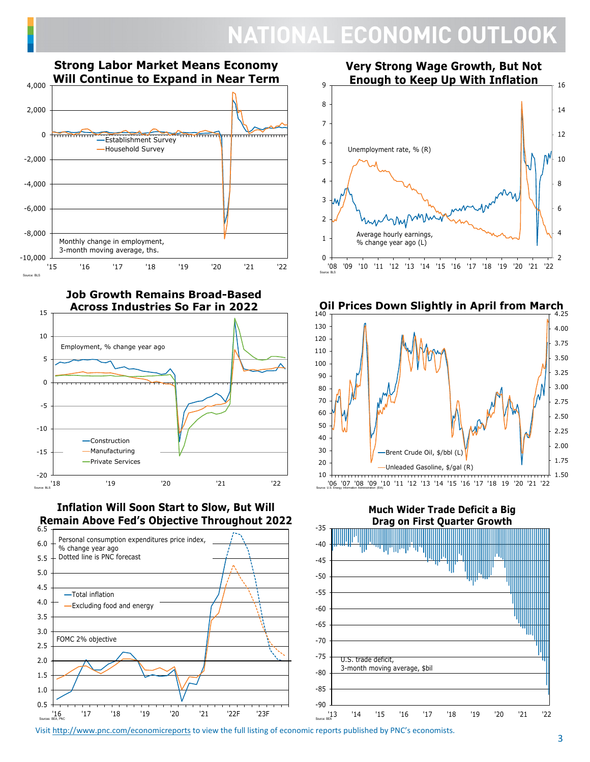# **NATIONAL ECONOMIC OUTLOOK**



**Job Growth Remains Broad-Based Across Industries So Far in 2022**



 **Inflation Will Soon Start to Slow, But Will Remain Above Fed's Objective Throughout 2022**







**Much Wider Trade Deficit a Big**



Visit http://www.pnc.com/economicreports to view the full listing of economic reports published by PNC's economists.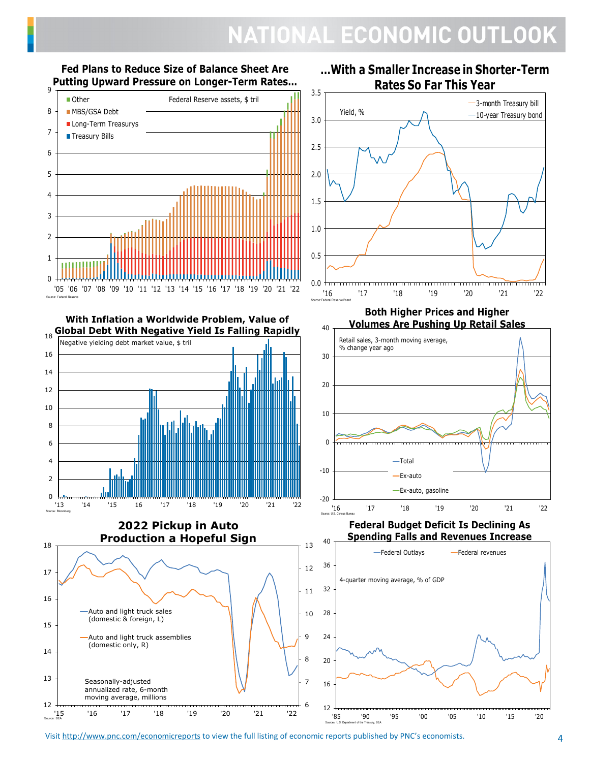# NATIONAL ECONOMIC OUTLOOK



**Fed Plans to Reduce Size of Balance Sheet Are**

 **Global Debt With Negative Yield Is Falling Rapidly With Inflation a Worldwide Problem, Value of** 



Source: Bloomberg



**…With a Smaller Increase in Shorter-Term Rates So Far This Year**





### **Federal Budget Deficit Is Declining As Spending Falls and Revenues Increase**